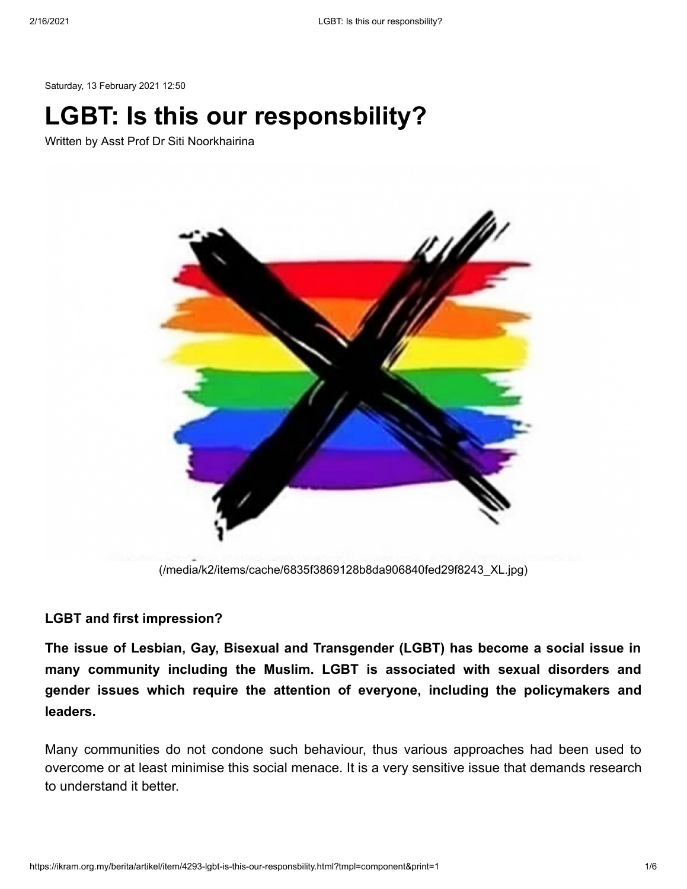Saturday, 13 February 2021 12:50

# **LGBT: Is this our responsbility?**

Written by Asst Prof Dr Siti Noorkhairina



[\(/media/k2/items/cache/6835f3869128b8da906840fed29f8243\\_XL.jpg\)](https://ikram.org.my/media/k2/items/cache/6835f3869128b8da906840fed29f8243_XL.jpg)

### **LGBT and first impression?**

**The issue of Lesbian, Gay, Bisexual and Transgender (LGBT) has become a social issue in many community including the Muslim. LGBT is associated with sexual disorders and gender issues which require the attention of everyone, including the policymakers and leaders.**

Many communities do not condone such behaviour, thus various approaches had been used to overcome or at least minimise this social menace. It is a very sensitive issue that demands research to understand it better.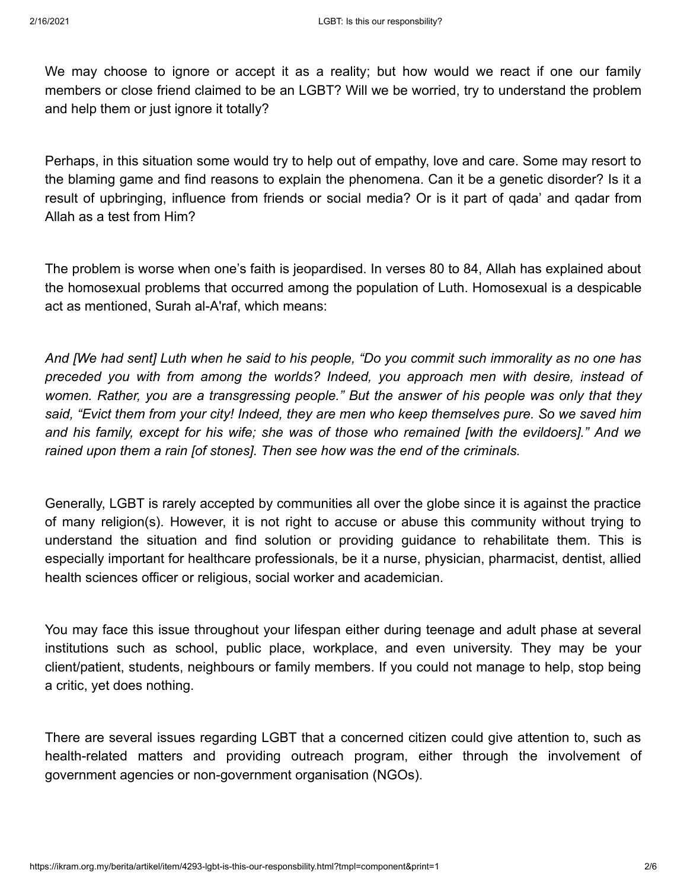We may choose to ignore or accept it as a reality; but how would we react if one our family members or close friend claimed to be an LGBT? Will we be worried, try to understand the problem and help them or just ignore it totally?

Perhaps, in this situation some would try to help out of empathy, love and care. Some may resort to the blaming game and find reasons to explain the phenomena. Can it be a genetic disorder? Is it a result of upbringing, influence from friends or social media? Or is it part of qada' and qadar from Allah as a test from Him?

The problem is worse when one's faith is jeopardised. In verses 80 to 84, Allah has explained about the homosexual problems that occurred among the population of Luth. Homosexual is a despicable act as mentioned, Surah al-A'raf, which means:

*And [We had sent] Luth when he said to his people, "Do you commit such immorality as no one has preceded you with from among the worlds? Indeed, you approach men with desire, instead of women. Rather, you are a transgressing people." But the answer of his people was only that they said, "Evict them from your city! Indeed, they are men who keep themselves pure. So we saved him and his family, except for his wife; she was of those who remained [with the evildoers]." And we rained upon them a rain [of stones]. Then see how was the end of the criminals.*

Generally, LGBT is rarely accepted by communities all over the globe since it is against the practice of many religion(s). However, it is not right to accuse or abuse this community without trying to understand the situation and find solution or providing guidance to rehabilitate them. This is especially important for healthcare professionals, be it a nurse, physician, pharmacist, dentist, allied health sciences officer or religious, social worker and academician.

You may face this issue throughout your lifespan either during teenage and adult phase at several institutions such as school, public place, workplace, and even university. They may be your client/patient, students, neighbours or family members. If you could not manage to help, stop being a critic, yet does nothing.

There are several issues regarding LGBT that a concerned citizen could give attention to, such as health-related matters and providing outreach program, either through the involvement of government agencies or non-government organisation (NGOs).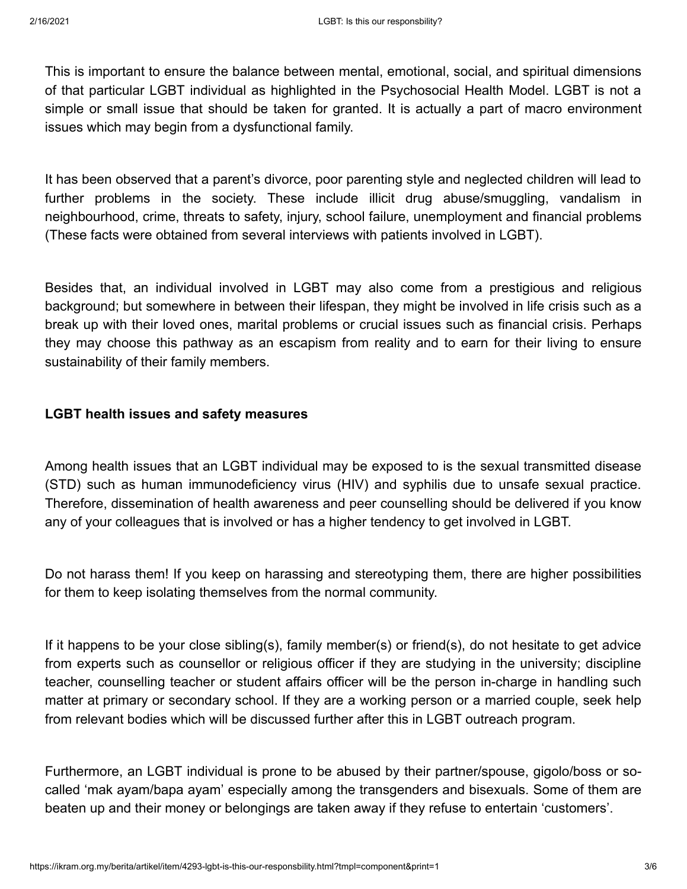This is important to ensure the balance between mental, emotional, social, and spiritual dimensions of that particular LGBT individual as highlighted in the Psychosocial Health Model. LGBT is not a simple or small issue that should be taken for granted. It is actually a part of macro environment issues which may begin from a dysfunctional family.

It has been observed that a parent's divorce, poor parenting style and neglected children will lead to further problems in the society. These include illicit drug abuse/smuggling, vandalism in neighbourhood, crime, threats to safety, injury, school failure, unemployment and financial problems (These facts were obtained from several interviews with patients involved in LGBT).

Besides that, an individual involved in LGBT may also come from a prestigious and religious background; but somewhere in between their lifespan, they might be involved in life crisis such as a break up with their loved ones, marital problems or crucial issues such as financial crisis. Perhaps they may choose this pathway as an escapism from reality and to earn for their living to ensure sustainability of their family members.

# **LGBT health issues and safety measures**

Among health issues that an LGBT individual may be exposed to is the sexual transmitted disease (STD) such as human immunodeficiency virus (HIV) and syphilis due to unsafe sexual practice. Therefore, dissemination of health awareness and peer counselling should be delivered if you know any of your colleagues that is involved or has a higher tendency to get involved in LGBT.

Do not harass them! If you keep on harassing and stereotyping them, there are higher possibilities for them to keep isolating themselves from the normal community.

If it happens to be your close sibling(s), family member(s) or friend(s), do not hesitate to get advice from experts such as counsellor or religious officer if they are studying in the university; discipline teacher, counselling teacher or student affairs officer will be the person in-charge in handling such matter at primary or secondary school. If they are a working person or a married couple, seek help from relevant bodies which will be discussed further after this in LGBT outreach program.

Furthermore, an LGBT individual is prone to be abused by their partner/spouse, gigolo/boss or socalled 'mak ayam/bapa ayam' especially among the transgenders and bisexuals. Some of them are beaten up and their money or belongings are taken away if they refuse to entertain 'customers'.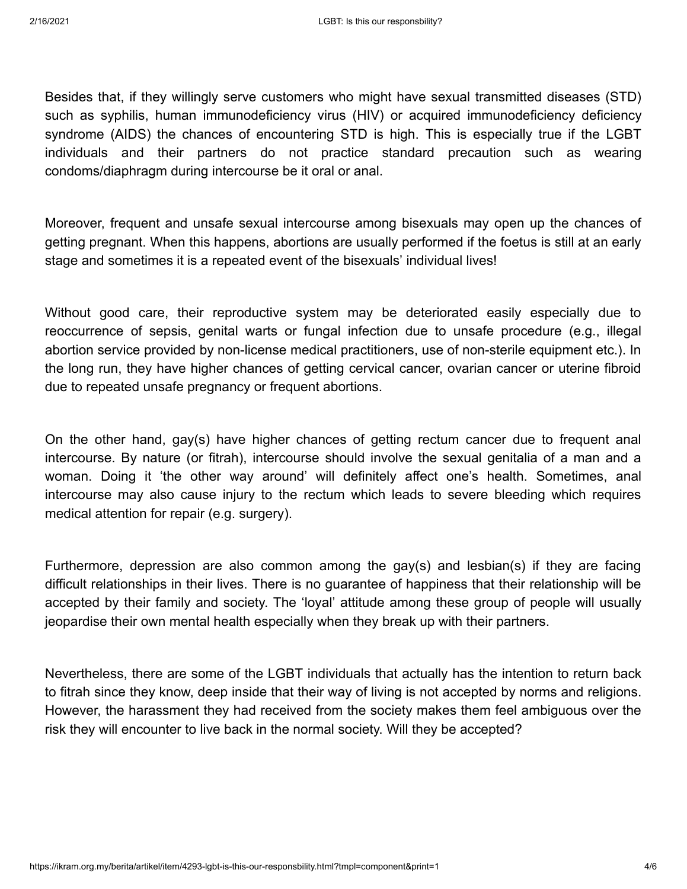Besides that, if they willingly serve customers who might have sexual transmitted diseases (STD) such as syphilis, human immunodeficiency virus (HIV) or acquired immunodeficiency deficiency syndrome (AIDS) the chances of encountering STD is high. This is especially true if the LGBT individuals and their partners do not practice standard precaution such as wearing condoms/diaphragm during intercourse be it oral or anal.

Moreover, frequent and unsafe sexual intercourse among bisexuals may open up the chances of getting pregnant. When this happens, abortions are usually performed if the foetus is still at an early stage and sometimes it is a repeated event of the bisexuals' individual lives!

Without good care, their reproductive system may be deteriorated easily especially due to reoccurrence of sepsis, genital warts or fungal infection due to unsafe procedure (e.g., illegal abortion service provided by non-license medical practitioners, use of non-sterile equipment etc.). In the long run, they have higher chances of getting cervical cancer, ovarian cancer or uterine fibroid due to repeated unsafe pregnancy or frequent abortions.

On the other hand, gay(s) have higher chances of getting rectum cancer due to frequent anal intercourse. By nature (or fitrah), intercourse should involve the sexual genitalia of a man and a woman. Doing it 'the other way around' will definitely affect one's health. Sometimes, anal intercourse may also cause injury to the rectum which leads to severe bleeding which requires medical attention for repair (e.g. surgery).

Furthermore, depression are also common among the gay(s) and lesbian(s) if they are facing difficult relationships in their lives. There is no guarantee of happiness that their relationship will be accepted by their family and society. The 'loyal' attitude among these group of people will usually jeopardise their own mental health especially when they break up with their partners.

Nevertheless, there are some of the LGBT individuals that actually has the intention to return back to fitrah since they know, deep inside that their way of living is not accepted by norms and religions. However, the harassment they had received from the society makes them feel ambiguous over the risk they will encounter to live back in the normal society. Will they be accepted?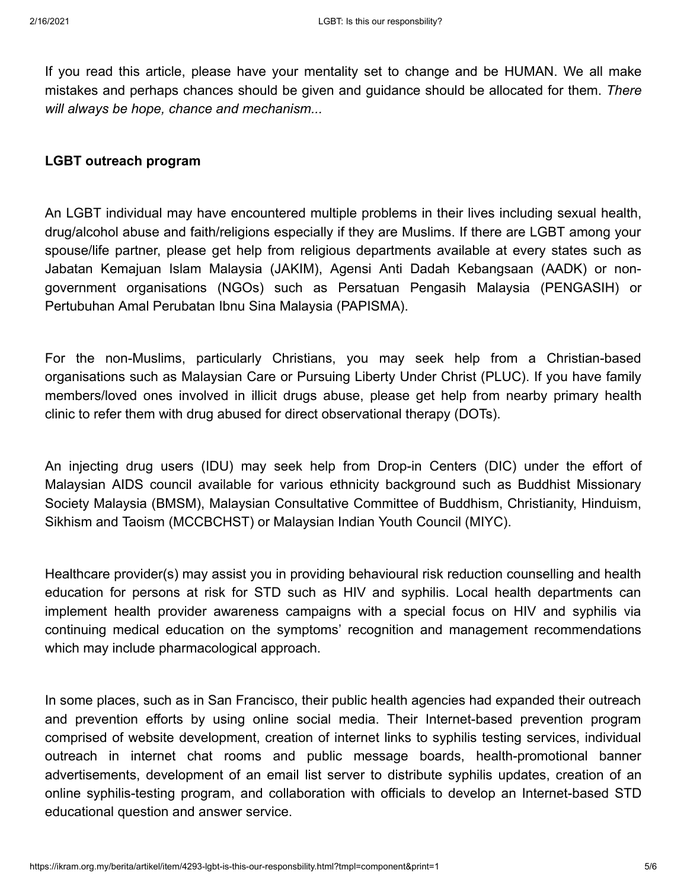If you read this article, please have your mentality set to change and be HUMAN. We all make mistakes and perhaps chances should be given and guidance should be allocated for them. *There will always be hope, chance and mechanism...*

## **LGBT outreach program**

An LGBT individual may have encountered multiple problems in their lives including sexual health, drug/alcohol abuse and faith/religions especially if they are Muslims. If there are LGBT among your spouse/life partner, please get help from religious departments available at every states such as Jabatan Kemajuan Islam Malaysia (JAKIM), Agensi Anti Dadah Kebangsaan (AADK) or nongovernment organisations (NGOs) such as Persatuan Pengasih Malaysia (PENGASIH) or Pertubuhan Amal Perubatan Ibnu Sina Malaysia (PAPISMA).

For the non-Muslims, particularly Christians, you may seek help from a Christian-based organisations such as Malaysian Care or Pursuing Liberty Under Christ (PLUC). If you have family members/loved ones involved in illicit drugs abuse, please get help from nearby primary health clinic to refer them with drug abused for direct observational therapy (DOTs).

An injecting drug users (IDU) may seek help from Drop-in Centers (DIC) under the effort of Malaysian AIDS council available for various ethnicity background such as Buddhist Missionary Society Malaysia (BMSM), Malaysian Consultative Committee of Buddhism, Christianity, Hinduism, Sikhism and Taoism (MCCBCHST) or Malaysian Indian Youth Council (MIYC).

Healthcare provider(s) may assist you in providing behavioural risk reduction counselling and health education for persons at risk for STD such as HIV and syphilis. Local health departments can implement health provider awareness campaigns with a special focus on HIV and syphilis via continuing medical education on the symptoms' recognition and management recommendations which may include pharmacological approach.

In some places, such as in San Francisco, their public health agencies had expanded their outreach and prevention efforts by using online social media. Their Internet-based prevention program comprised of website development, creation of internet links to syphilis testing services, individual outreach in internet chat rooms and public message boards, health-promotional banner advertisements, development of an email list server to distribute syphilis updates, creation of an online syphilis-testing program, and collaboration with officials to develop an Internet-based STD educational question and answer service.